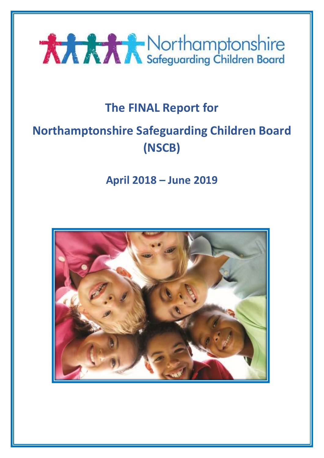

# **The FINAL Report for**

# **Northamptonshire Safeguarding Children Board (NSCB)**

**April 2018 – June 2019**

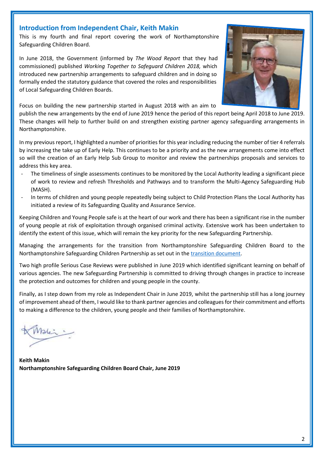## **Introduction from Independent Chair, Keith Makin**

This is my fourth and final report covering the work of Northamptonshire Safeguarding Children Board.

In June 2018, the Government (informed by *The Wood Report* that they had commissioned) published *Working Together to Safeguard Children 2018,* which introduced new partnership arrangements to safeguard children and in doing so formally ended the statutory guidance that covered the roles and responsibilities of Local Safeguarding Children Boards.

Focus on building the new partnership started in August 2018 with an aim to

publish the new arrangements by the end of June 2019 hence the period of this report being April 2018 to June 2019. These changes will help to further build on and strengthen existing partner agency safeguarding arrangements in Northamptonshire.

In my previous report, I highlighted a number of priorities for this year including reducing the number of tier 4 referrals by increasing the take up of Early Help. This continues to be a priority and as the new arrangements come into effect so will the creation of an Early Help Sub Group to monitor and review the partnerships proposals and services to address this key area.

- The timeliness of single assessments continues to be monitored by the Local Authority leading a significant piece of work to review and refresh Thresholds and Pathways and to transform the Multi-Agency Safeguarding Hub (MASH).
- In terms of children and young people repeatedly being subject to Child Protection Plans the Local Authority has initiated a review of its Safeguarding Quality and Assurance Service.

Keeping Children and Young People safe is at the heart of our work and there has been a significant rise in the number of young people at risk of exploitation through organised criminal activity. Extensive work has been undertaken to identify the extent of this issue, which will remain the key priority for the new Safeguarding Partnership.

Managing the arrangements for the transition from Northamptonshire Safeguarding Children Board to the Northamptonshire Safeguarding Children Partnership as set out in the [transition document.](http://www.northamptonshirescb.org.uk/assets/legacy/getasset?id=fAA0ADcANgB8AHwAVAByAHUAZQB8AHwAMAB8AA2)

Two high profile Serious Case Reviews were published in June 2019 which identified significant learning on behalf of various agencies. The new Safeguarding Partnership is committed to driving through changes in practice to increase the protection and outcomes for children and young people in the county.

Finally, as I step down from my role as Independent Chair in June 2019, whilst the partnership still has a long journey of improvement ahead of them, I would like to thank partner agencies and colleagues for their commitment and efforts to making a difference to the children, young people and their families of Northamptonshire.

Aslei :

**Keith Makin Northamptonshire Safeguarding Children Board Chair, June 2019**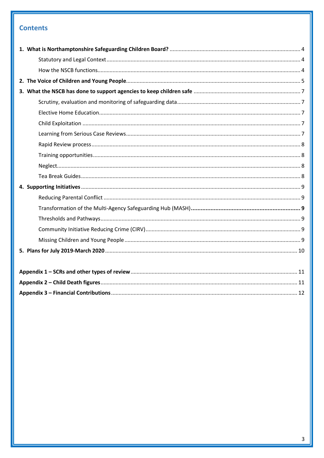## **Contents**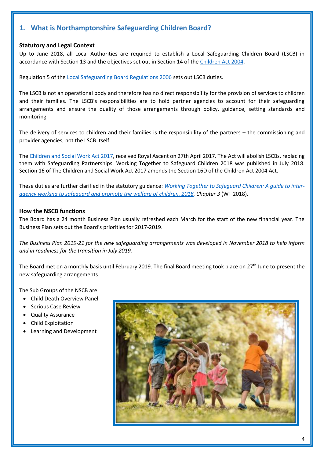## <span id="page-3-0"></span>**1. What is Northamptonshire Safeguarding Children Board?**

## <span id="page-3-1"></span>**Statutory and Legal Context**

Up to June 2018, all Local Authorities are required to establish a Local Safeguarding Children Board (LSCB) in accordance with Section 13 and the objectives set out in Section 14 of th[e Children Act 2004.](https://www.legislation.gov.uk/ukpga/2004/31/contents)

Regulation 5 of the [Local Safeguarding Board Regulations 2006](http://www.legislation.gov.uk/uksi/2006/90/regulation/5/made) sets out LSCB duties.

The LSCB is not an operational body and therefore has no direct responsibility for the provision of services to children and their families. The LSCB's responsibilities are to hold partner agencies to account for their safeguarding arrangements and ensure the quality of those arrangements through policy, guidance, setting standards and monitoring.

The delivery of services to children and their families is the responsibility of the partners – the commissioning and provider agencies, not the LSCB itself.

Th[e Children and Social Work Act 2017,](http://www.legislation.gov.uk/ukpga/2017/16/contents/enacted) received Royal Ascent on 27th April 2017. The Act will abolish LSCBs, replacing them with Safeguarding Partnerships. Working Together to Safeguard Children 2018 was published in July 2018. Section 16 of The Children and Social Work Act 2017 amends the Section 16D of the Children Act 2004 Act.

These duties are further clarified in the statutory guidance: *[Working Together to Safeguard Children: A guide to inter](https://assets.publishing.service.gov.uk/government/uploads/system/uploads/attachment_data/file/779401/Working_Together_to_Safeguard-Children.pdf)[agency working to safeguard and promote](https://assets.publishing.service.gov.uk/government/uploads/system/uploads/attachment_data/file/779401/Working_Together_to_Safeguard-Children.pdf) the welfare of children, 2018, Chapter 3* (WT 2018).

## <span id="page-3-2"></span>**How the NSCB functions**

The Board has a 24 month Business Plan usually refreshed each March for the start of the new financial year. The Business Plan sets out the Board's priorities for 2017-2019.

*The Business Plan 2019-21 for the new safeguarding arrangements was developed in November 2018 to help inform and in readiness for the transition in July 2019.*

The Board met on a monthly basis until February 2019. The final Board meeting took place on 27th June to present the new safeguarding arrangements.

The Sub Groups of the NSCB are:

- Child Death Overview Panel
- Serious Case Review
- Quality Assurance
- Child Exploitation
- Learning and Development

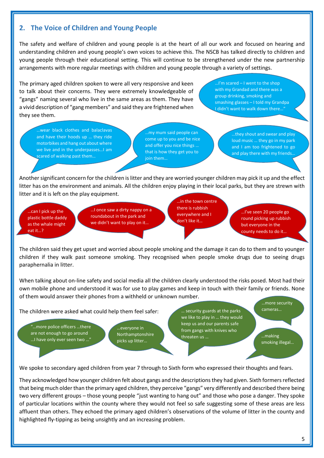## <span id="page-4-0"></span>**2. The Voice of Children and Young People**

The safety and welfare of children and young people is at the heart of all our work and focused on hearing and understanding children and young people's own voices to achieve this. The NSCB has talked directly to children and young people through their educational setting. This will continue to be strengthened under the new partnership arrangements with more regular meetings with children and young people through a variety of settings.

The primary aged children spoken to were all very responsive and keen to talk about their concerns. They were extremely knowledgeable of "gangs" naming several who live in the same areas as them. They have a vivid description of "gang members" and said they are frightened when they see them.

…I'm scared – I went to the shop with my Grandad and there was a group drinking, smoking and smashing glasses – I told my Grandpa I didn't want to walk down there…"

…wear black clothes and balaclavas and have their hoods up … they ride motorbikes and hang out about where we live and in the underpasses…I am scared of walking past them…

…my mum said people can come up to you and be nice and offer you nice things … that is how they get you to join them…

…they shout and swear and play loud music … they go in my park and I am too frightened to go and play there with my friends.

Another significant concern for the children is litter and they are worried younger children may pick it up and the effect litter has on the environment and animals. All the children enjoy playing in their local parks, but they are strewn with litter and it is left on the play equipment.

…can I pick up the plastic bottle daddy as the whale might eat it…?

…I once saw a dirty nappy on a roundabout in the park and we didn't want to play on it…

…in the town centre there is rubbish everywhere and I don't like it…

…I've seen 20 people go round picking up rubbish but everyone in the county needs to do it…

The children said they get upset and worried about people smoking and the damage it can do to them and to younger children if they walk past someone smoking. They recognised when people smoke drugs due to seeing drugs paraphernalia in litter.

When talking about on-line safety and social media all the children clearly understood the risks posed. Most had their own mobile phone and understood it was for use to play games and keep in touch with their family or friends. None of them would answer their phones from a withheld or unknown number.

The children were asked what could help them feel safer:

"…more police officers …there are not enough to go around …I have only ever seen two …"

…everyone in Northamptonshire picks up litter…

… security guards at the parks we like to play in … they would keep us and our parents safe from gangs with knives who threaten us ... **Executive Structure 1.1** making

…more security cameras…

smoking illegal…

We spoke to secondary aged children from year 7 through to Sixth form who expressed their thoughts and fears.

They acknowledged how younger children felt about gangs and the descriptions they had given. Sixth formers reflected that being much older than the primary aged children, they perceive "gangs" very differently and described there being two very different groups – those young people "just wanting to hang out" and those who pose a danger. They spoke of particular locations within the county where they would not feel so safe suggesting some of these areas are less affluent than others. They echoed the primary aged children's observations of the volume of litter in the county and highlighted fly-tipping as being unsightly and an increasing problem.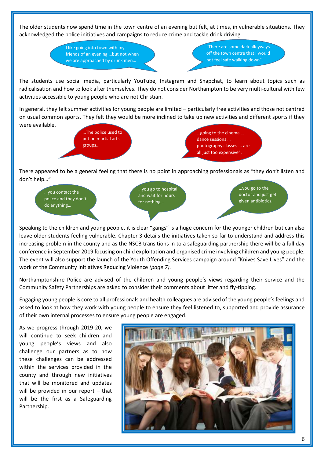The older students now spend time in the town centre of an evening but felt, at times, in vulnerable situations. They acknowledged the police initiatives and campaigns to reduce crime and tackle drink driving.

> I like going into town with my friends of an evening …but not when we are approached by drunk men…

"There are some dark alleyways off the town centre that I would not feel safe walking down".

The students use social media, particularly YouTube, Instagram and Snapchat, to learn about topics such as radicalisation and how to look after themselves. They do not consider Northampton to be very multi-cultural with few activities accessible to young people who are not Christian.

In general, they felt summer activities for young people are limited – particularly free activities and those not centred on usual common sports. They felt they would be more inclined to take up new activities and different sports if they were available.



There appeared to be a general feeling that there is no point in approaching professionals as "they don't listen and don't help…"



Speaking to the children and young people, it is clear "gangs" is a huge concern for the younger children but can also leave older students feeling vulnerable. Chapter 3 details the initiatives taken so far to understand and address this increasing problem in the county and as the NSCB transitions in to a safeguarding partnership there will be a full day conference in September 2019 focusing on child exploitation and organised crime involving children and young people. The event will also support the launch of the Youth Offending Services campaign around "Knives Save Lives" and the work of the Community Initiatives Reducing Violence *(page 7).*

Northamptonshire Police are advised of the children and young people's views regarding their service and the Community Safety Partnerships are asked to consider their comments about litter and fly-tipping.

Engaging young people is core to all professionals and health colleagues are advised of the young people's feelings and asked to look at how they work with young people to ensure they feel listened to, supported and provide assurance of their own internal processes to ensure young people are engaged.

As we progress through 2019-20, we will continue to seek children and young people's views and also challenge our partners as to how these challenges can be addressed within the services provided in the county and through new initiatives that will be monitored and updates will be provided in our report – that will be the first as a Safeguarding Partnership.

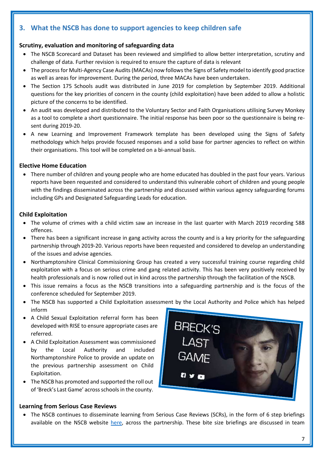## <span id="page-6-0"></span>**3. What the NSCB has done to support agencies to keep children safe**

## <span id="page-6-1"></span>**Scrutiny, evaluation and monitoring of safeguarding data**

- The NSCB Scorecard and Dataset has been reviewed and simplified to allow better interpretation, scrutiny and challenge of data. Further revision is required to ensure the capture of data is relevant
- The process for Multi-Agency Case Audits (MACAs) now followsthe Signs of Safety model to identify good practice as well as areas for improvement. During the period, three MACAs have been undertaken.
- The Section 175 Schools audit was distributed in June 2019 for completion by September 2019. Additional questions for the key priorities of concern in the county (child exploitation) have been added to allow a holistic picture of the concerns to be identified.
- An audit was developed and distributed to the Voluntary Sector and Faith Organisations utilising Survey Monkey as a tool to complete a short questionnaire. The initial response has been poor so the questionnaire is being resent during 2019-20.
- A new Learning and Improvement Framework template has been developed using the Signs of Safety methodology which helps provide focused responses and a solid base for partner agencies to reflect on within their organisations. This tool will be completed on a bi-annual basis.

## <span id="page-6-2"></span>**Elective Home Education**

 There number of children and young people who are home educated has doubled in the past four years. Various reports have been requested and considered to understand this vulnerable cohort of children and young people with the findings disseminated across the partnership and discussed within various agency safeguarding forums including GPs and Designated Safeguarding Leads for education.

## <span id="page-6-3"></span>**Child Exploitation**

- The volume of crimes with a child victim saw an increase in the last quarter with March 2019 recording 588 offences.
- There has been a significant increase in gang activity across the county and is a key priority for the safeguarding partnership through 2019-20. Various reports have been requested and considered to develop an understanding of the issues and advise agencies.
- Northamptonshire Clinical Commissioning Group has created a very successful training course regarding child exploitation with a focus on serious crime and gang related activity. This has been very positively received by health professionals and is now rolled out in kind across the partnership through the facilitation of the NSCB.
- This issue remains a focus as the NSCB transitions into a safeguarding partnership and is the focus of the conference scheduled for September 2019.
- The NSCB has supported a Child Exploitation assessment by the Local Authority and Police which has helped inform
- A Child Sexual Exploitation referral form has been developed with RISE to ensure appropriate cases are referred.
- A Child Exploitation Assessment was commissioned by the Local Authority and included Northamptonshire Police to provide an update on the previous partnership assessment on Child Exploitation.
- The NSCB has promoted and supported the roll out of 'Breck's Last Game' across schoolsin the county.

## <span id="page-6-4"></span>**Learning from Serious Case Reviews**

- **BRECK'S**
- The NSCB continues to disseminate learning from Serious Case Reviews (SCRs), in the form of 6 step briefings available on the NSCB website [here,](http://www.northamptonshirescb.org.uk/about-northamptonshire-safeguarding-children-board/scr/) across the partnership. These bite size briefings are discussed in team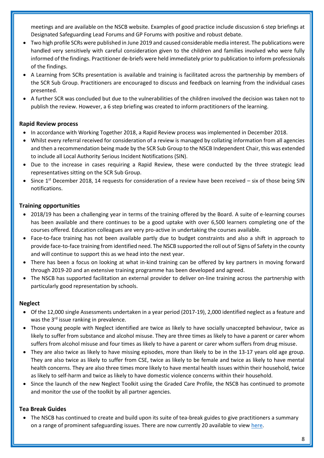meetings and are available on the NSCB website. Examples of good practice include discussion 6 step briefings at Designated Safeguarding Lead Forums and GP Forums with positive and robust debate.

- Two high profile SCRs were published in June 2019 and caused considerable media interest. The publications were handled very sensitively with careful consideration given to the children and families involved who were fully informed of the findings. Practitioner de-briefs were held immediately prior to publication to inform professionals of the findings.
- A Learning from SCRs presentation is available and training is facilitated across the partnership by members of the SCR Sub Group. Practitioners are encouraged to discuss and feedback on learning from the individual cases presented.
- A further SCR was concluded but due to the vulnerabilities of the children involved the decision was taken not to publish the review. However, a 6 step briefing was created to inform practitioners of the learning.

## <span id="page-7-0"></span>**Rapid Review process**

- In accordance with Working Together 2018, a Rapid Review process was implemented in December 2018.
- Whilst every referral received for consideration of a review is managed by collating information from all agencies and then a recommendation being made by the SCR Sub Group to the NSCB Independent Chair, this was extended to include all Local Authority Serious Incident Notifications (SIN).
- Due to the increase in cases requiring a Rapid Review, these were conducted by the three strategic lead representatives sitting on the SCR Sub Group.
- Since  $1^{st}$  December 2018, 14 requests for consideration of a review have been received six of those being SIN notifications.

## <span id="page-7-1"></span>**Training opportunities**

- 2018/19 has been a challenging year in terms of the training offered by the Board. A suite of e-learning courses has been available and there continues to be a good uptake with over 6,500 learners completing one of the courses offered. Education colleagues are very pro-active in undertaking the courses available.
- Face-to-face training has not been available partly due to budget constraints and also a shift in approach to provide face-to-face training from identified need. The NSCB supported the roll out of Signs of Safety in the county and will continue to support this as we head into the next year.
- There has been a focus on looking at what in-kind training can be offered by key partners in moving forward through 2019-20 and an extensive training programme has been developed and agreed.
- The NSCB has supported facilitation an external provider to deliver on-line training across the partnership with particularly good representation by schools.

## <span id="page-7-2"></span>**Neglect**

- Of the 12,000 single Assessments undertaken in a year period (2017-19), 2,000 identified neglect as a feature and was the 3<sup>rd</sup> issue ranking in prevalence.
- Those young people with Neglect identified are twice as likely to have socially unaccepted behaviour, twice as likely to suffer from substance and alcohol misuse. They are three times as likely to have a parent or carer whom suffers from alcohol misuse and four times as likely to have a parent or carer whom suffers from drug misuse.
- They are also twice as likely to have missing episodes, more than likely to be in the 13-17 years old age group. They are also twice as likely to suffer from CSE, twice as likely to be female and twice as likely to have mental health concerns. They are also three times more likely to have mental health issues within their household, twice as likely to self-harm and twice as likely to have domestic violence concerns within their household.
- Since the launch of the new Neglect Toolkit using the Graded Care Profile, the NSCB has continued to promote and monitor the use of the toolkit by all partner agencies.

## <span id="page-7-3"></span>**Tea Break Guides**

 The NSCB has continued to create and build upon its suite of tea-break guides to give practitioners a summary on a range of prominent safeguarding issues. There are now currently 20 available to view [here.](http://www.northamptonshirescb.org.uk/about-northamptonshire-safeguarding-children-board/policies/tea-break-guides/)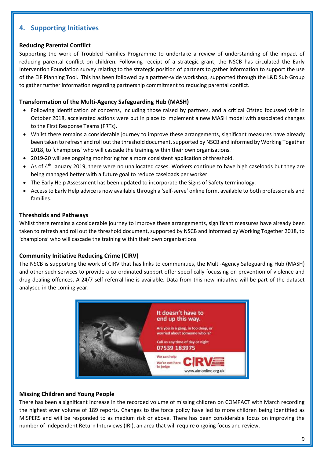## <span id="page-8-0"></span>**4. Supporting Initiatives**

#### <span id="page-8-1"></span>**Reducing Parental Conflict**

Supporting the work of Troubled Families Programme to undertake a review of understanding of the impact of reducing parental conflict on children. Following receipt of a strategic grant, the NSCB has circulated the Early Intervention Foundation survey relating to the strategic position of partners to gather information to support the use of the EIF Planning Tool. This has been followed by a partner-wide workshop, supported through the L&D Sub Group to gather further information regarding partnership commitment to reducing parental conflict.

#### <span id="page-8-2"></span>**Transformation of the Multi-Agency Safeguarding Hub (MASH)**

- Following identification of concerns, including those raised by partners, and a critical Ofsted focussed visit in October 2018, accelerated actions were put in place to implement a new MASH model with associated changes to the First Response Teams (FRTs).
- Whilst there remains a considerable journey to improve these arrangements, significant measures have already been taken to refresh and roll out the threshold document, supported by NSCB and informed by Working Together 2018, to 'champions' who will cascade the training within their own organisations.
- 2019-20 will see ongoing monitoring for a more consistent application of threshold.
- $\bullet$  As of 4<sup>th</sup> January 2019, there were no unallocated cases. Workers continue to have high caseloads but they are being managed better with a future goal to reduce caseloads per worker.
- The Early Help Assessment has been updated to incorporate the Signs of Safety terminology.
- Access to Early Help advice is now available through a 'self-serve' online form, available to both professionals and families.

#### <span id="page-8-3"></span>**Thresholds and Pathways**

Whilst there remains a considerable journey to improve these arrangements, significant measures have already been taken to refresh and roll out the threshold document, supported by NSCB and informed by Working Together 2018, to 'champions' who will cascade the training within their own organisations.

#### <span id="page-8-4"></span>**Community Initiative Reducing Crime (CIRV)**

The NSCB is supporting the work of CIRV that has links to communities, the Multi-Agency Safeguarding Hub (MASH) and other such services to provide a co-ordinated support offer specifically focussing on prevention of violence and drug dealing offences. A 24/7 self-referral line is available. Data from this new initiative will be part of the dataset analysed in the coming year.



#### <span id="page-8-5"></span>**Missing Children and Young People**

There has been a significant increase in the recorded volume of missing children on COMPACT with March recording the highest ever volume of 189 reports. Changes to the force policy have led to more children being identified as MISPERS and will be responded to as medium risk or above. There has been considerable focus on improving the number of Independent Return Interviews (IRI), an area that will require ongoing focus and review.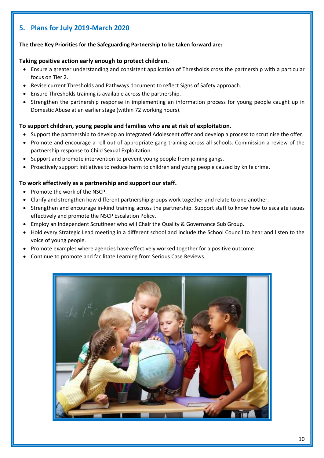## <span id="page-9-0"></span>**5. Plans for July 2019-March 2020**

## **The three Key Priorities for the Safeguarding Partnership to be taken forward are:**

#### **Taking positive action early enough to protect children.**

- Ensure a greater understanding and consistent application of Thresholds cross the partnership with a particular focus on Tier 2.
- Revise current Thresholds and Pathways document to reflect Signs of Safety approach.
- Ensure Thresholds training is available across the partnership.
- Strengthen the partnership response in implementing an information process for young people caught up in Domestic Abuse at an earlier stage (within 72 working hours).

## **To support children, young people and families who are at risk of exploitation.**

- Support the partnership to develop an Integrated Adolescent offer and develop a process to scrutinise the offer.
- Promote and encourage a roll out of appropriate gang training across all schools. Commission a review of the partnership response to Child Sexual Exploitation.
- Support and promote intervention to prevent young people from joining gangs.
- Proactively support initiatives to reduce harm to children and young people caused by knife crime.

## **To work effectively as a partnership and support our staff.**

- Promote the work of the NSCP.
- Clarify and strengthen how different partnership groups work together and relate to one another.
- Strengthen and encourage in-kind training across the partnership. Support staff to know how to escalate issues effectively and promote the NSCP Escalation Policy.
- Employ an Independent Scrutineer who will Chair the Quality & Governance Sub Group.
- Hold every Strategic Lead meeting in a different school and include the School Council to hear and listen to the voice of young people.
- Promote examples where agencies have effectively worked together for a positive outcome.
- Continue to promote and facilitate Learning from Serious Case Reviews.

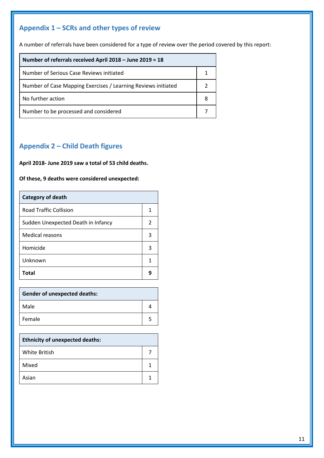## <span id="page-10-0"></span>**Appendix 1 – SCRs and other types of review**

A number of referrals have been considered for a type of review over the period covered by this report:

| Number of referrals received April 2018 - June 2019 = 18      |  |
|---------------------------------------------------------------|--|
| Number of Serious Case Reviews initiated                      |  |
| Number of Case Mapping Exercises / Learning Reviews initiated |  |
| No further action                                             |  |
| Number to be processed and considered                         |  |

## <span id="page-10-1"></span>**Appendix 2 – Child Death figures**

**April 2018- June 2019 saw a total of 53 child deaths.**

**Of these, 9 deaths were considered unexpected:**

| <b>Category of death</b>           |               |
|------------------------------------|---------------|
| <b>Road Traffic Collision</b>      | 1             |
| Sudden Unexpected Death in Infancy | $\mathcal{P}$ |
| Medical reasons                    | 3             |
| Homicide                           | 3             |
| Unknown                            | 1             |
| <b>Total</b>                       | q             |

| <b>Gender of unexpected deaths:</b> |  |
|-------------------------------------|--|
| Male                                |  |
| Female                              |  |

| <b>Ethnicity of unexpected deaths:</b> |  |
|----------------------------------------|--|
| White British                          |  |
| Mixed                                  |  |
| Asian                                  |  |